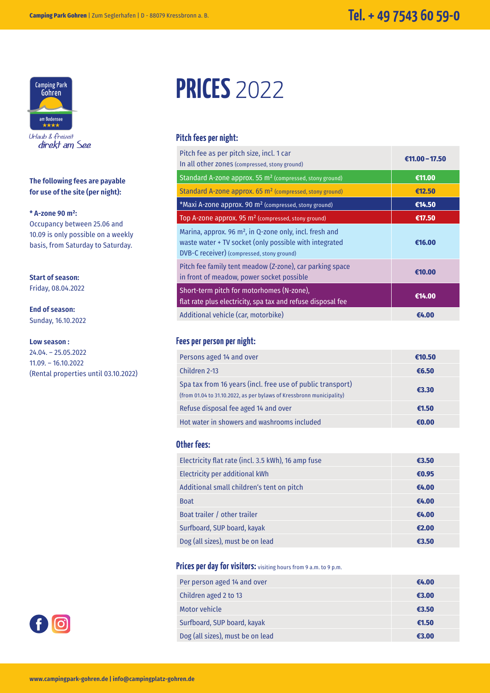

Urlaub & freizeit direkt am See

**The following fees are payable for use of the site (per night):**

#### **\* A-zone 90 m²:**

Occupancy between 25.06 and 10.09 is only possible on a weekly basis, from Saturday to Saturday.

**Start of season:** Friday, 08.04.2022

**End of season:** Sunday, 16.10.2022

#### **Low season :**

24.04. – 25.05.2022 11.09. – 16.10.2022 (Rental properties until 03.10.2022)



#### **Pitch fees per night:**

| Pitch fee as per pitch size, incl. 1 car<br>In all other zones (compressed, stony ground)                                                                         | €11.00 - 17.50 |
|-------------------------------------------------------------------------------------------------------------------------------------------------------------------|----------------|
| Standard A-zone approx. 55 m <sup>2</sup> (compressed, stony ground)                                                                                              | €11.00         |
| Standard A-zone approx. 65 m <sup>2</sup> (compressed, stony ground)                                                                                              | €12.50         |
| *Maxi A-zone approx. 90 m <sup>2</sup> (compressed, stony ground)                                                                                                 | €14.50         |
| Top A-zone approx. 95 m <sup>2</sup> (compressed, stony ground)                                                                                                   | €17.50         |
| Marina, approx. 96 $m2$ , in Q-zone only, incl. fresh and<br>waste water + TV socket (only possible with integrated<br>DVB-C receiver) (compressed, stony ground) | €16.00         |
| Pitch fee family tent meadow (Z-zone), car parking space<br>in front of meadow, power socket possible                                                             | €10.00         |
| Short-term pitch for motorhomes (N-zone),<br>flat rate plus electricity, spa tax and refuse disposal fee                                                          | €14.00         |
| Additional vehicle (car, motorbike)                                                                                                                               | €4.00          |

#### **Fees per person per night:**

| Persons aged 14 and over                                                                                                           | €10.50 |
|------------------------------------------------------------------------------------------------------------------------------------|--------|
| Children 2-13                                                                                                                      | €6.50  |
| Spa tax from 16 years (incl. free use of public transport)<br>(from 01.04 to 31.10.2022, as per bylaws of Kressbronn municipality) | €3.30  |
| Refuse disposal fee aged 14 and over                                                                                               | €1.50  |
| Hot water in showers and washrooms included                                                                                        | €0.00  |

#### **Other fees:**

| Electricity flat rate (incl. 3.5 kWh), 16 amp fuse | €3.50 |
|----------------------------------------------------|-------|
| Electricity per additional kWh                     | €0.95 |
| Additional small children's tent on pitch          | €4.00 |
| <b>Boat</b>                                        | €4.00 |
| Boat trailer / other trailer                       | €4.00 |
| Surfboard, SUP board, kayak                        | €2.00 |
| Dog (all sizes), must be on lead                   | €3.50 |

#### Prices per day for visitors: visiting hours from 9 a.m. to 9 p.m.

| Per person aged 14 and over      | €4.00 |
|----------------------------------|-------|
| Children aged 2 to 13            | €3.00 |
| Motor vehicle                    | €3.50 |
| Surfboard, SUP board, kayak      | €1.50 |
| Dog (all sizes), must be on lead | €3.00 |